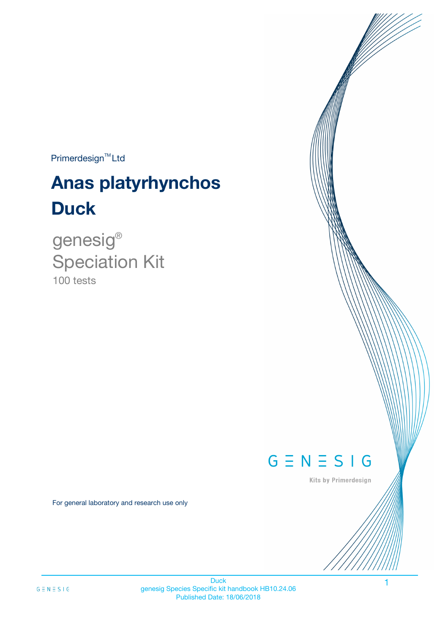Primerdesign<sup>™</sup>Ltd

# **Anas platyrhynchos Duck**

100 tests genesig ® Speciation Kit



Kits by Primerdesign

1

For general laboratory and research use only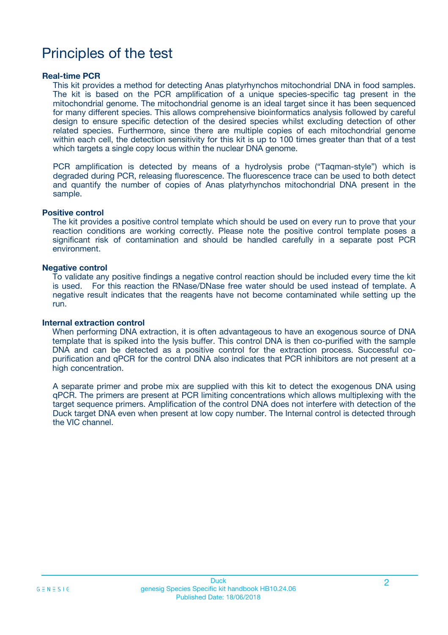# Principles of the test

### **Real-time PCR**

This kit provides a method for detecting Anas platyrhynchos mitochondrial DNA in food samples. The kit is based on the PCR amplification of a unique species-specific tag present in the mitochondrial genome. The mitochondrial genome is an ideal target since it has been sequenced for many different species. This allows comprehensive bioinformatics analysis followed by careful design to ensure specific detection of the desired species whilst excluding detection of other related species. Furthermore, since there are multiple copies of each mitochondrial genome within each cell, the detection sensitivity for this kit is up to 100 times greater than that of a test which targets a single copy locus within the nuclear DNA genome.

PCR amplification is detected by means of a hydrolysis probe ("Taqman-style") which is degraded during PCR, releasing fluorescence. The fluorescence trace can be used to both detect and quantify the number of copies of Anas platyrhynchos mitochondrial DNA present in the sample.

### **Positive control**

The kit provides a positive control template which should be used on every run to prove that your reaction conditions are working correctly. Please note the positive control template poses a significant risk of contamination and should be handled carefully in a separate post PCR environment.

### **Negative control**

To validate any positive findings a negative control reaction should be included every time the kit is used. For this reaction the RNase/DNase free water should be used instead of template. A negative result indicates that the reagents have not become contaminated while setting up the run.

### **Internal extraction control**

When performing DNA extraction, it is often advantageous to have an exogenous source of DNA template that is spiked into the lysis buffer. This control DNA is then co-purified with the sample DNA and can be detected as a positive control for the extraction process. Successful copurification and qPCR for the control DNA also indicates that PCR inhibitors are not present at a high concentration.

A separate primer and probe mix are supplied with this kit to detect the exogenous DNA using qPCR. The primers are present at PCR limiting concentrations which allows multiplexing with the target sequence primers. Amplification of the control DNA does not interfere with detection of the Duck target DNA even when present at low copy number. The Internal control is detected through the VIC channel.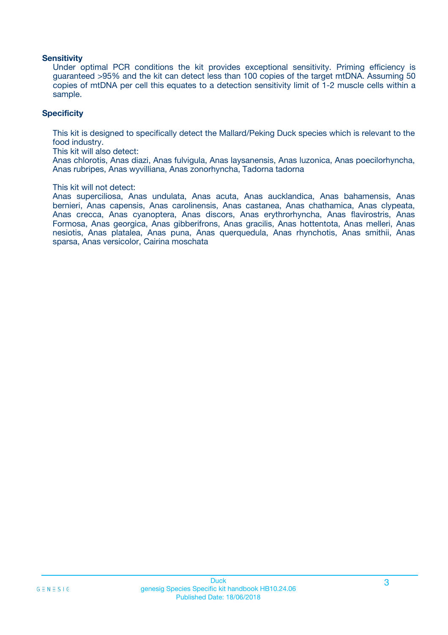### **Sensitivity**

Under optimal PCR conditions the kit provides exceptional sensitivity. Priming efficiency is guaranteed >95% and the kit can detect less than 100 copies of the target mtDNA. Assuming 50 copies of mtDNA per cell this equates to a detection sensitivity limit of 1-2 muscle cells within a sample.

### **Specificity**

This kit is designed to specifically detect the Mallard/Peking Duck species which is relevant to the food industry.

This kit will also detect:

Anas chlorotis, Anas diazi, Anas fulvigula, Anas laysanensis, Anas luzonica, Anas poecilorhyncha, Anas rubripes, Anas wyvilliana, Anas zonorhyncha, Tadorna tadorna

#### This kit will not detect:

Anas superciliosa, Anas undulata, Anas acuta, Anas aucklandica, Anas bahamensis, Anas bernieri, Anas capensis, Anas carolinensis, Anas castanea, Anas chathamica, Anas clypeata, Anas crecca, Anas cyanoptera, Anas discors, Anas erythrorhyncha, Anas flavirostris, Anas Formosa, Anas georgica, Anas gibberifrons, Anas gracilis, Anas hottentota, Anas melleri, Anas nesiotis, Anas platalea, Anas puna, Anas querquedula, Anas rhynchotis, Anas smithii, Anas sparsa, Anas versicolor, Cairina moschata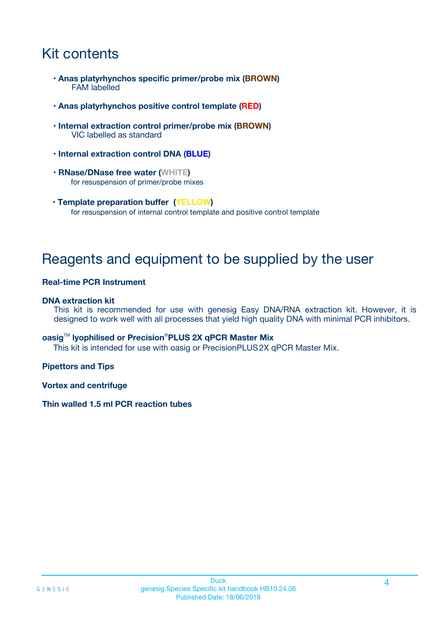# Kit contents

- **Anas platyrhynchos specific primer/probe mix (BROWN)** FAM labelled
- **Anas platyrhynchos positive control template (RED)**
- **Internal extraction control primer/probe mix (BROWN)** VIC labelled as standard
- **Internal extraction control DNA (BLUE)**
- **RNase/DNase free water (WHITE)** for resuspension of primer/probe mixes
- **Template preparation buffer (YELLOW)** for resuspension of internal control template and positive control template

# Reagents and equipment to be supplied by the user

### **Real-time PCR Instrument**

### **DNA extraction kit**

This kit is recommended for use with genesig Easy DNA/RNA extraction kit. However, it is designed to work well with all processes that yield high quality DNA with minimal PCR inhibitors.

### **oasig**TM **lyophilised or Precision**®**PLUS 2X qPCR Master Mix**

This kit is intended for use with oasig or PrecisionPLUS2X qPCR Master Mix.

### **Pipettors and Tips**

**Vortex and centrifuge**

### **Thin walled 1.5 ml PCR reaction tubes**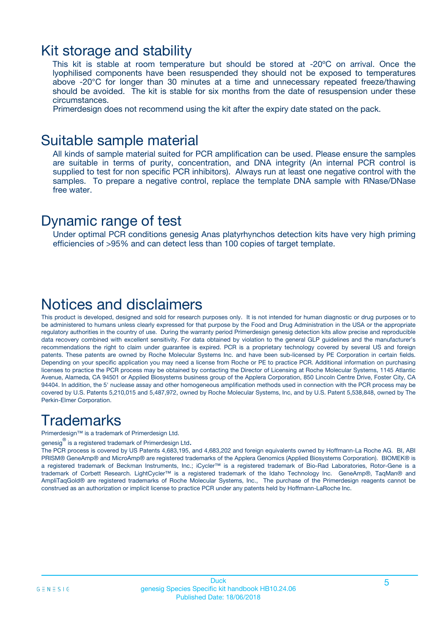### Kit storage and stability

This kit is stable at room temperature but should be stored at -20ºC on arrival. Once the lyophilised components have been resuspended they should not be exposed to temperatures above -20°C for longer than 30 minutes at a time and unnecessary repeated freeze/thawing should be avoided. The kit is stable for six months from the date of resuspension under these circumstances.

Primerdesign does not recommend using the kit after the expiry date stated on the pack.

### Suitable sample material

All kinds of sample material suited for PCR amplification can be used. Please ensure the samples are suitable in terms of purity, concentration, and DNA integrity (An internal PCR control is supplied to test for non specific PCR inhibitors). Always run at least one negative control with the samples. To prepare a negative control, replace the template DNA sample with RNase/DNase free water.

### Dynamic range of test

Under optimal PCR conditions genesig Anas platyrhynchos detection kits have very high priming efficiencies of >95% and can detect less than 100 copies of target template.

# Notices and disclaimers

This product is developed, designed and sold for research purposes only. It is not intended for human diagnostic or drug purposes or to be administered to humans unless clearly expressed for that purpose by the Food and Drug Administration in the USA or the appropriate regulatory authorities in the country of use. During the warranty period Primerdesign genesig detection kits allow precise and reproducible data recovery combined with excellent sensitivity. For data obtained by violation to the general GLP guidelines and the manufacturer's recommendations the right to claim under guarantee is expired. PCR is a proprietary technology covered by several US and foreign patents. These patents are owned by Roche Molecular Systems Inc. and have been sub-licensed by PE Corporation in certain fields. Depending on your specific application you may need a license from Roche or PE to practice PCR. Additional information on purchasing licenses to practice the PCR process may be obtained by contacting the Director of Licensing at Roche Molecular Systems, 1145 Atlantic Avenue, Alameda, CA 94501 or Applied Biosystems business group of the Applera Corporation, 850 Lincoln Centre Drive, Foster City, CA 94404. In addition, the 5' nuclease assay and other homogeneous amplification methods used in connection with the PCR process may be covered by U.S. Patents 5,210,015 and 5,487,972, owned by Roche Molecular Systems, Inc, and by U.S. Patent 5,538,848, owned by The Perkin-Elmer Corporation.

# **Trademarks**

Primerdesign™ is a trademark of Primerdesign Ltd.

genesig $^\circledR$  is a registered trademark of Primerdesign Ltd.

The PCR process is covered by US Patents 4,683,195, and 4,683,202 and foreign equivalents owned by Hoffmann-La Roche AG. BI, ABI PRISM® GeneAmp® and MicroAmp® are registered trademarks of the Applera Genomics (Applied Biosystems Corporation). BIOMEK® is a registered trademark of Beckman Instruments, Inc.; iCycler™ is a registered trademark of Bio-Rad Laboratories, Rotor-Gene is a trademark of Corbett Research. LightCycler™ is a registered trademark of the Idaho Technology Inc. GeneAmp®, TaqMan® and AmpliTaqGold® are registered trademarks of Roche Molecular Systems, Inc., The purchase of the Primerdesign reagents cannot be construed as an authorization or implicit license to practice PCR under any patents held by Hoffmann-LaRoche Inc.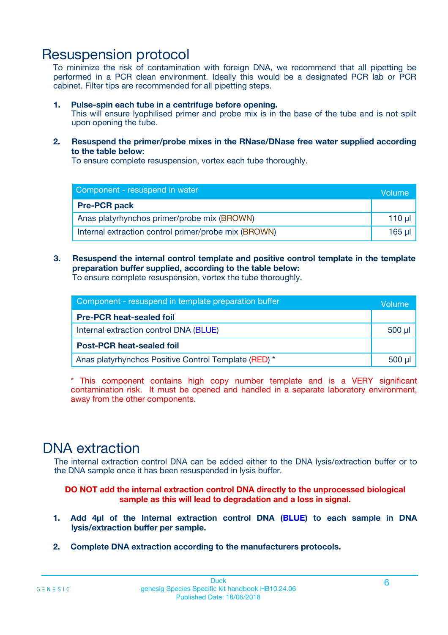# Resuspension protocol

To minimize the risk of contamination with foreign DNA, we recommend that all pipetting be performed in a PCR clean environment. Ideally this would be a designated PCR lab or PCR cabinet. Filter tips are recommended for all pipetting steps.

### **1. Pulse-spin each tube in a centrifuge before opening.**

This will ensure lyophilised primer and probe mix is in the base of the tube and is not spilt upon opening the tube.

**2. Resuspend the primer/probe mixes in the RNase/DNase free water supplied according to the table below:**

To ensure complete resuspension, vortex each tube thoroughly.

| Component - resuspend in water                       |             |  |
|------------------------------------------------------|-------------|--|
| <b>Pre-PCR pack</b>                                  |             |  |
| Anas platyrhynchos primer/probe mix (BROWN)          | $110$ $\mu$ |  |
| Internal extraction control primer/probe mix (BROWN) | 165 µl      |  |

### **3. Resuspend the internal control template and positive control template in the template preparation buffer supplied, according to the table below:**

To ensure complete resuspension, vortex the tube thoroughly.

| Component - resuspend in template preparation buffer |             |  |
|------------------------------------------------------|-------------|--|
| <b>Pre-PCR heat-sealed foil</b>                      |             |  |
| Internal extraction control DNA (BLUE)               | $500$ $\mu$ |  |
| <b>Post-PCR heat-sealed foil</b>                     |             |  |
| Anas platyrhynchos Positive Control Template (RED) * |             |  |

\* This component contains high copy number template and is a VERY significant contamination risk. It must be opened and handled in a separate laboratory environment, away from the other components.

# DNA extraction

The internal extraction control DNA can be added either to the DNA lysis/extraction buffer or to the DNA sample once it has been resuspended in lysis buffer.

**DO NOT add the internal extraction control DNA directly to the unprocessed biological sample as this will lead to degradation and a loss in signal.**

- **1. Add 4µl of the Internal extraction control DNA (BLUE) to each sample in DNA lysis/extraction buffer per sample.**
- **2. Complete DNA extraction according to the manufacturers protocols.**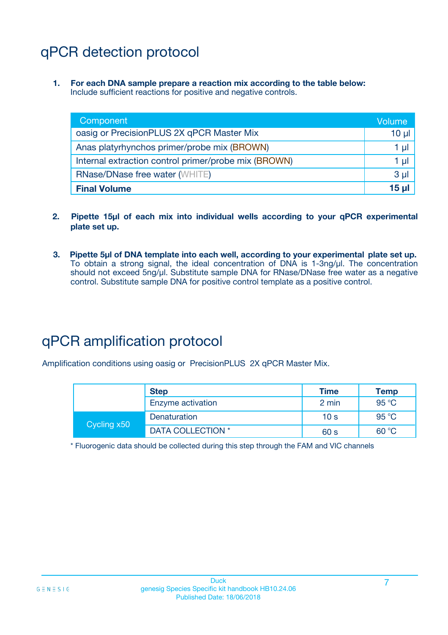# qPCR detection protocol

**1. For each DNA sample prepare a reaction mix according to the table below:** Include sufficient reactions for positive and negative controls.

| Component                                            | Volume         |
|------------------------------------------------------|----------------|
| oasig or PrecisionPLUS 2X qPCR Master Mix            | $10 \mu$       |
| Anas platyrhynchos primer/probe mix (BROWN)          | 1 µl           |
| Internal extraction control primer/probe mix (BROWN) | 1 µl           |
| <b>RNase/DNase free water (WHITE)</b>                | 3 <sub>µ</sub> |
| <b>Final Volume</b>                                  | 15 u           |

- **2. Pipette 15µl of each mix into individual wells according to your qPCR experimental plate set up.**
- **3. Pipette 5µl of DNA template into each well, according to your experimental plate set up.** To obtain a strong signal, the ideal concentration of DNA is 1-3ng/µl. The concentration should not exceed 5ng/µl. Substitute sample DNA for RNase/DNase free water as a negative control. Substitute sample DNA for positive control template as a positive control.

# qPCR amplification protocol

Amplification conditions using oasig or PrecisionPLUS 2X qPCR Master Mix.

|             | <b>Step</b>       | <b>Time</b>     | Temp           |
|-------------|-------------------|-----------------|----------------|
|             | Enzyme activation | 2 min           | 95 °C          |
| Cycling x50 | Denaturation      | 10 <sub>s</sub> | 95 $\degree$ C |
|             | DATA COLLECTION * | 60 s            | 60 °C          |

\* Fluorogenic data should be collected during this step through the FAM and VIC channels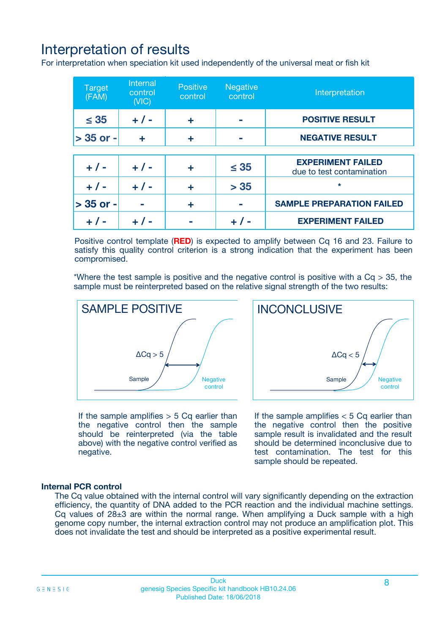# Interpretation of results

For interpretation when speciation kit used independently of the universal meat or fish kit

| <b>Target</b><br>(FAM) | <b>Internal</b><br>control<br>(VIC) | <b>Positive</b><br>control | <b>Negative</b><br>control | Interpretation                                        |
|------------------------|-------------------------------------|----------------------------|----------------------------|-------------------------------------------------------|
| $\leq 35$              | $+ 1 -$                             | ÷                          |                            | <b>POSITIVE RESULT</b>                                |
| $> 35$ or -            | ÷                                   | ÷                          |                            | <b>NEGATIVE RESULT</b>                                |
|                        |                                     |                            |                            |                                                       |
| $+ 1 -$                | $+ 1 -$                             | ÷                          | $\leq 35$                  | <b>EXPERIMENT FAILED</b><br>due to test contamination |
| $+ 1 -$                | $+ 1 -$                             | ٠                          | > 35                       | $\star$                                               |
| $> 35$ or -            |                                     | ÷                          |                            | <b>SAMPLE PREPARATION FAILED</b>                      |
|                        |                                     |                            |                            | <b>EXPERIMENT FAILED</b>                              |

Positive control template (**RED**) is expected to amplify between Cq 16 and 23. Failure to satisfy this quality control criterion is a strong indication that the experiment has been compromised.

\*Where the test sample is positive and the negative control is positive with a  $Ca > 35$ , the sample must be reinterpreted based on the relative signal strength of the two results:



If the sample amplifies  $> 5$  Cq earlier than the negative control then the sample should be reinterpreted (via the table above) with the negative control verified as negative.

Sample  $/$  / Negative control  $\Delta$ Ca < 5 **INCONCLUSIVE** 

If the sample amplifies  $< 5$  Cq earlier than the negative control then the positive sample result is invalidated and the result should be determined inconclusive due to test contamination. The test for this sample should be repeated.

### **Internal PCR control**

The Cq value obtained with the internal control will vary significantly depending on the extraction efficiency, the quantity of DNA added to the PCR reaction and the individual machine settings. Cq values of  $28\pm3$  are within the normal range. When amplifying a Duck sample with a high genome copy number, the internal extraction control may not produce an amplification plot. This does not invalidate the test and should be interpreted as a positive experimental result.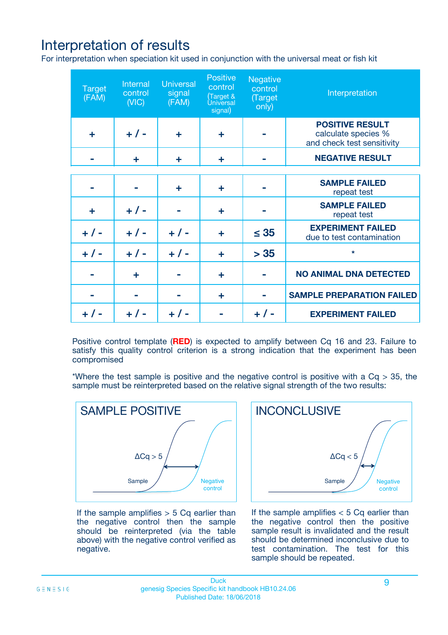# Interpretation of results

For interpretation when speciation kit used in conjunction with the universal meat or fish kit

| <b>Target</b><br>(FAM) | Internal<br>control<br>(NIC) | <b>Universal</b><br>signal<br>(FAM) | Positive<br>control<br>(Target &<br><b>Universal</b><br>signal) | <b>Negative</b><br>control<br>(Target<br>only) | Interpretation                                                              |
|------------------------|------------------------------|-------------------------------------|-----------------------------------------------------------------|------------------------------------------------|-----------------------------------------------------------------------------|
| ÷                      | $+$ / -                      | ÷                                   | ÷                                                               |                                                | <b>POSITIVE RESULT</b><br>calculate species %<br>and check test sensitivity |
|                        | ٠                            | ÷                                   | ÷                                                               |                                                | <b>NEGATIVE RESULT</b>                                                      |
|                        |                              |                                     |                                                                 |                                                |                                                                             |
|                        |                              | ÷                                   | ÷                                                               |                                                | <b>SAMPLE FAILED</b><br>repeat test                                         |
| ÷                      | $+ 1 -$                      |                                     | ÷                                                               |                                                | <b>SAMPLE FAILED</b><br>repeat test                                         |
| $+/-$                  | $+$ / -                      | $+/-$                               | ÷                                                               | $\leq 35$                                      | <b>EXPERIMENT FAILED</b><br>due to test contamination                       |
| $+ 1 -$                | $+$ / -                      | $+ 1 -$                             | ÷                                                               | > 35                                           | $\star$                                                                     |
|                        | ÷                            |                                     | ÷                                                               |                                                | <b>NO ANIMAL DNA DETECTED</b>                                               |
|                        |                              |                                     | ÷                                                               |                                                | <b>SAMPLE PREPARATION FAILED</b>                                            |
| $+  / -$               | $+ 1 -$                      |                                     |                                                                 |                                                | <b>EXPERIMENT FAILED</b>                                                    |

Positive control template (**RED**) is expected to amplify between Cq 16 and 23. Failure to satisfy this quality control criterion is a strong indication that the experiment has been compromised

\*Where the test sample is positive and the negative control is positive with a  $Cq > 35$ , the sample must be reinterpreted based on the relative signal strength of the two results:



If the sample amplifies  $> 5$  Cq earlier than the negative control then the sample should be reinterpreted (via the table above) with the negative control verified as negative.



If the sample amplifies  $< 5$  Cq earlier than the negative control then the positive sample result is invalidated and the result should be determined inconclusive due to test contamination. The test for this sample should be repeated.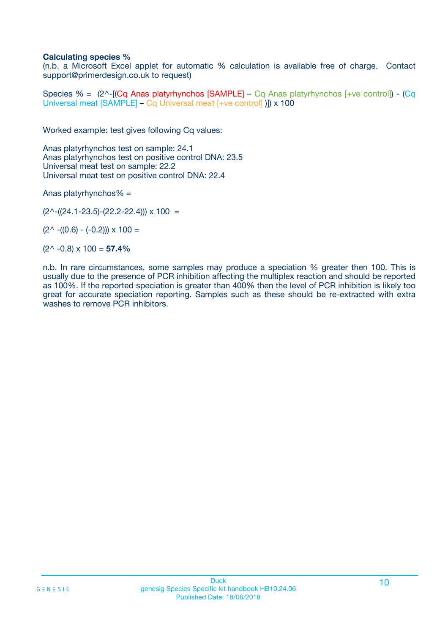### **Calculating species %**

(n.b. a Microsoft Excel applet for automatic % calculation is available free of charge. Contact support@primerdesign.co.uk to request)

Species % =  $(2^{\wedge}$ -[(Cq Anas platyrhynchos [SAMPLE] – Cq Anas platyrhynchos [+ve control]) - (Cq Universal meat [SAMPLE] – Cq Universal meat [+ve control] )]) x 100

Worked example: test gives following Cq values:

Anas platyrhynchos test on sample: 24.1 Anas platyrhynchos test on positive control DNA: 23.5 Universal meat test on sample: 22.2 Universal meat test on positive control DNA: 22.4

Anas platyrhynchos% =

 $(2^{\wedge}-(24.1-23.5)-(22.2-22.4))) \times 100 =$ 

 $(2^{\wedge}$  -((0.6) - (-0.2)))  $\times$  100 =

(2^ -0.8) x 100 = **57.4%**

n.b. In rare circumstances, some samples may produce a speciation % greater then 100. This is usually due to the presence of PCR inhibition affecting the multiplex reaction and should be reported as 100%. If the reported speciation is greater than 400% then the level of PCR inhibition is likely too great for accurate speciation reporting. Samples such as these should be re-extracted with extra washes to remove PCR inhibitors.